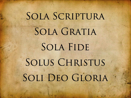## SOLA SCRIPTURA SOLA GRATIA **SOLA FIDE** SOLUS CHRISTUS SOLI DEO GLORIA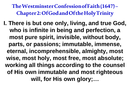**I. There is but one only, living, and true God, who is infinite in being and perfection, a most pure spirit, invisible, without body, parts, or passions; immutable, immense, eternal, incomprehensible, almighty, most wise, most holy, most free, most absolute; working all things according to the counsel of His own immutable and most righteous will, for His own glory;…**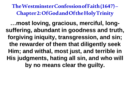**…most loving, gracious, merciful, longsuffering, abundant in goodness and truth, forgiving iniquity, transgression, and sin; the rewarder of them that diligently seek Him; and withal, most just, and terrible in His judgments, hating all sin, and who will by no means clear the guilty.**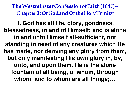**II. God has all life, glory, goodness, blessedness, in and of Himself; and is alone in and unto Himself all-sufficient, not standing in need of any creatures which He has made, nor deriving any glory from them, but only manifesting His own glory in, by, unto, and upon them. He is the alone fountain of all being, of whom, through whom, and to whom are all things;…**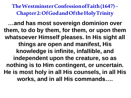**…and has most sovereign dominion over them, to do by them, for them, or upon them whatsoever Himself pleases. In His sight all things are open and manifest, His knowledge is infinite, infallible, and independent upon the creature, so as nothing is to Him contingent, or uncertain. He is most holy in all His counsels, in all His works, and in all His commands….**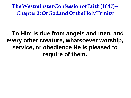**…To Him is due from angels and men, and every other creature, whatsoever worship, service, or obedience He is pleased to require of them.**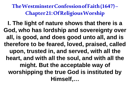**The Westminster Confession of Faith (1647) – Chapter 21: Of Religious Worship**

**I. The light of nature shows that there is a God, who has lordship and sovereignty over all, is good, and does good unto all, and is therefore to be feared, loved, praised, called upon, trusted in, and served, with all the heart, and with all the soul, and with all the might. But the acceptable way of worshipping the true God is instituted by Himself,…**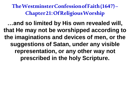**The Westminster Confession of Faith (1647) – Chapter 21: Of Religious Worship**

**…and so limited by His own revealed will, that He may not be worshipped according to the imaginations and devices of men, or the suggestions of Satan, under any visible representation, or any other way not prescribed in the holy Scripture.**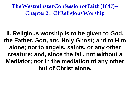**The Westminster Confession of Faith (1647) – Chapter 21: Of Religious Worship**

**II. Religious worship is to be given to God, the Father, Son, and Holy Ghost; and to Him alone; not to angels, saints, or any other creature: and, since the fall, not without a Mediator; nor in the mediation of any other but of Christ alone.**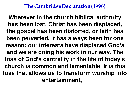**Wherever in the church biblical authority has been lost, Christ has been displaced, the gospel has been distorted, or faith has been perverted, it has always been for one reason: our interests have displaced God's and we are doing his work in our way. The loss of God's centrality in the life of today's church is common and lamentable. It is this loss that allows us to transform worship into entertainment,…**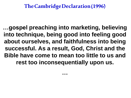**…gospel preaching into marketing, believing into technique, being good into feeling good about ourselves, and faithfulness into being successful. As a result, God, Christ and the Bible have come to mean too little to us and rest too inconsequentially upon us.**

**…**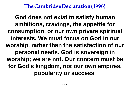**God does not exist to satisfy human ambitions, cravings, the appetite for consumption, or our own private spiritual interests. We must focus on God in our worship, rather than the satisfaction of our personal needs. God is sovereign in worship; we are not. Our concern must be for God's kingdom, not our own empires, popularity or success.**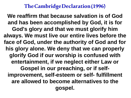**We reaffirm that because salvation is of God and has been accomplished by God, it is for God's glory and that we must glorify him always. We must live our entire lives before the face of God, under the authority of God and for his glory alone. We deny that we can properly glorify God if our worship is confused with entertainment, if we neglect either Law or Gospel in our preaching, or if selfimprovement, self-esteem or self- fulfillment are allowed to become alternatives to the gospel.**